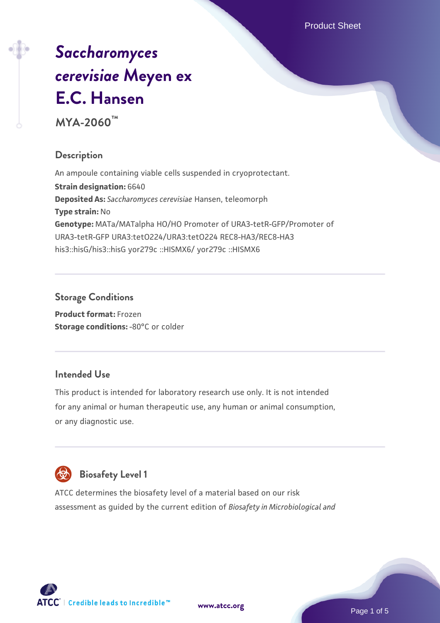Product Sheet

# *[Saccharomyces](https://www.atcc.org/products/mya-2060) [cerevisiae](https://www.atcc.org/products/mya-2060)* **[Meyen ex](https://www.atcc.org/products/mya-2060) [E.C. Hansen](https://www.atcc.org/products/mya-2060)**

**MYA-2060™**

# **Description**

An ampoule containing viable cells suspended in cryoprotectant. **Strain designation:** 6640 **Deposited As:** *Saccharomyces cerevisiae* Hansen, teleomorph **Type strain:** No **Genotype:** MATa/MATalpha HO/HO Promoter of URA3-tetR-GFP/Promoter of URA3-tetR-GFP URA3:tetO224/URA3:tetO224 REC8-HA3/REC8-HA3 his3::hisG/his3::hisG yor279c ::HISMX6/ yor279c ::HISMX6

## **Storage Conditions**

**Product format:** Frozen **Storage conditions: -80°C or colder** 

## **Intended Use**

This product is intended for laboratory research use only. It is not intended for any animal or human therapeutic use, any human or animal consumption, or any diagnostic use.



# **Biosafety Level 1**

ATCC determines the biosafety level of a material based on our risk assessment as guided by the current edition of *Biosafety in Microbiological and*

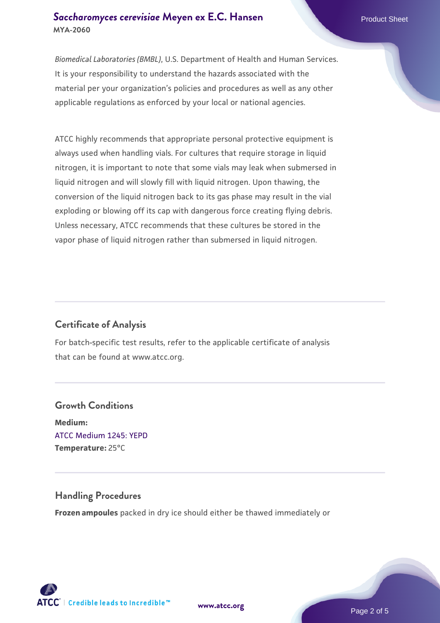#### **[Saccharomyces cerevisiae](https://www.atcc.org/products/mya-2060)** [Meyen ex E.C. Hansen](https://www.atcc.org/products/mya-2060) **MYA-2060**

*Biomedical Laboratories (BMBL)*, U.S. Department of Health and Human Services. It is your responsibility to understand the hazards associated with the material per your organization's policies and procedures as well as any other applicable regulations as enforced by your local or national agencies.

ATCC highly recommends that appropriate personal protective equipment is always used when handling vials. For cultures that require storage in liquid nitrogen, it is important to note that some vials may leak when submersed in liquid nitrogen and will slowly fill with liquid nitrogen. Upon thawing, the conversion of the liquid nitrogen back to its gas phase may result in the vial exploding or blowing off its cap with dangerous force creating flying debris. Unless necessary, ATCC recommends that these cultures be stored in the vapor phase of liquid nitrogen rather than submersed in liquid nitrogen.

## **Certificate of Analysis**

For batch-specific test results, refer to the applicable certificate of analysis that can be found at www.atcc.org.

# **Growth Conditions Medium:**  [ATCC Medium 1245: YEPD](https://www.atcc.org/-/media/product-assets/documents/microbial-media-formulations/1/2/4/5/atcc-medium-1245.pdf?rev=705ca55d1b6f490a808a965d5c072196) **Temperature:** 25°C

#### **Handling Procedures**

**Frozen ampoules** packed in dry ice should either be thawed immediately or



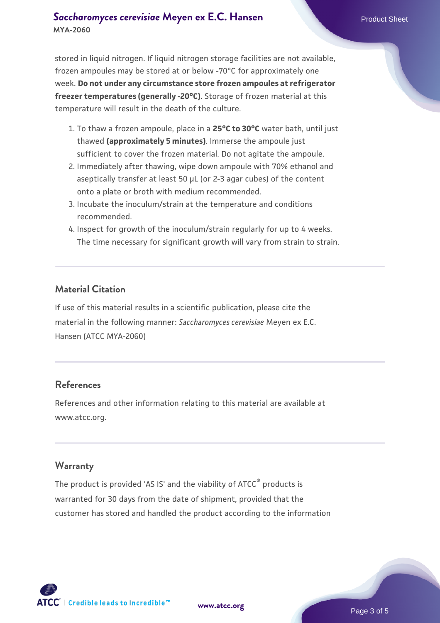#### **[Saccharomyces cerevisiae](https://www.atcc.org/products/mya-2060)** [Meyen ex E.C. Hansen](https://www.atcc.org/products/mya-2060) **MYA-2060**

stored in liquid nitrogen. If liquid nitrogen storage facilities are not available, frozen ampoules may be stored at or below -70°C for approximately one week. **Do not under any circumstance store frozen ampoules at refrigerator freezer temperatures (generally -20°C)**. Storage of frozen material at this temperature will result in the death of the culture.

- 1. To thaw a frozen ampoule, place in a **25°C to 30°C** water bath, until just thawed **(approximately 5 minutes)**. Immerse the ampoule just sufficient to cover the frozen material. Do not agitate the ampoule.
- 2. Immediately after thawing, wipe down ampoule with 70% ethanol and aseptically transfer at least 50 µL (or 2-3 agar cubes) of the content onto a plate or broth with medium recommended.
- 3. Incubate the inoculum/strain at the temperature and conditions recommended.
- 4. Inspect for growth of the inoculum/strain regularly for up to 4 weeks. The time necessary for significant growth will vary from strain to strain.

#### **Material Citation**

If use of this material results in a scientific publication, please cite the material in the following manner: *Saccharomyces cerevisiae* Meyen ex E.C. Hansen (ATCC MYA-2060)

#### **References**

References and other information relating to this material are available at www.atcc.org.

#### **Warranty**

The product is provided 'AS IS' and the viability of ATCC® products is warranted for 30 days from the date of shipment, provided that the customer has stored and handled the product according to the information

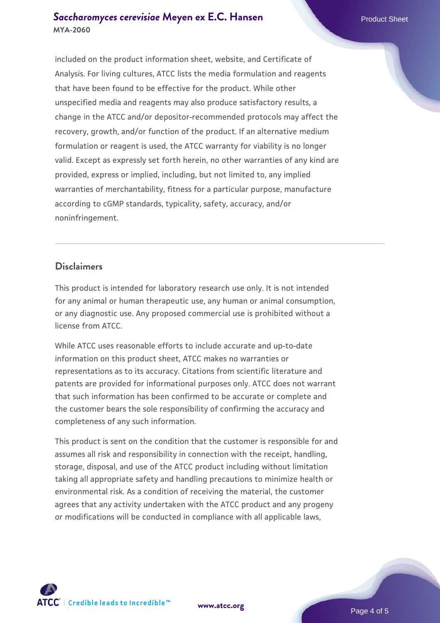## **[Saccharomyces cerevisiae](https://www.atcc.org/products/mya-2060)** [Meyen ex E.C. Hansen](https://www.atcc.org/products/mya-2060) **MYA-2060**

included on the product information sheet, website, and Certificate of Analysis. For living cultures, ATCC lists the media formulation and reagents that have been found to be effective for the product. While other unspecified media and reagents may also produce satisfactory results, a change in the ATCC and/or depositor-recommended protocols may affect the recovery, growth, and/or function of the product. If an alternative medium formulation or reagent is used, the ATCC warranty for viability is no longer valid. Except as expressly set forth herein, no other warranties of any kind are provided, express or implied, including, but not limited to, any implied warranties of merchantability, fitness for a particular purpose, manufacture according to cGMP standards, typicality, safety, accuracy, and/or noninfringement.

#### **Disclaimers**

This product is intended for laboratory research use only. It is not intended for any animal or human therapeutic use, any human or animal consumption, or any diagnostic use. Any proposed commercial use is prohibited without a license from ATCC.

While ATCC uses reasonable efforts to include accurate and up-to-date information on this product sheet, ATCC makes no warranties or representations as to its accuracy. Citations from scientific literature and patents are provided for informational purposes only. ATCC does not warrant that such information has been confirmed to be accurate or complete and the customer bears the sole responsibility of confirming the accuracy and completeness of any such information.

This product is sent on the condition that the customer is responsible for and assumes all risk and responsibility in connection with the receipt, handling, storage, disposal, and use of the ATCC product including without limitation taking all appropriate safety and handling precautions to minimize health or environmental risk. As a condition of receiving the material, the customer agrees that any activity undertaken with the ATCC product and any progeny or modifications will be conducted in compliance with all applicable laws,



**[www.atcc.org](http://www.atcc.org)**

Page 4 of 5